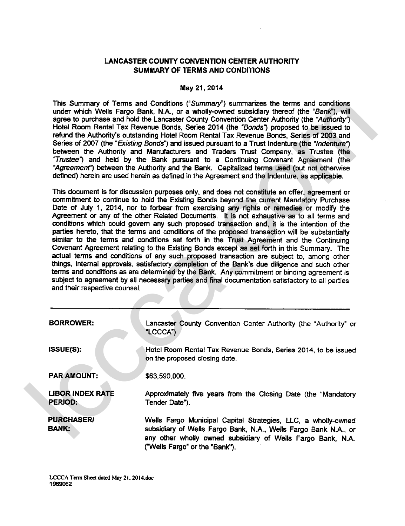# LANCASTER COUNTY CONVENTION CENTER AUTHORITY SUMMARY OF TERMS AND CONDITIONS

### May 21,2014

|                                           | This Summary of Terms and Conditions ("Summary") summarizes the terms and conditions<br>under which Wells Fargo Bank, N.A., or a wholly-owned subsidiary thereof (the "Bank"), will<br>agree to purchase and hold the Lancaster County Convention Center Authority (the "Authority")<br>Hotel Room Rental Tax Revenue Bonds, Series 2014 (the "Bonds") proposed to be issued to<br>refund the Authority's outstanding Hotel Room Rental Tax Revenue Bonds, Series of 2003 and<br>Series of 2007 (the "Existing Bonds") and issued pursuant to a Trust Indenture (the "Indenture")<br>between the Authority and Manufacturers and Traders Trust Company, as Trustee (the<br>"Trustee") and held by the Bank pursuant to a Continuing Covenant Agreement (the<br>"Agreement") between the Authority and the Bank. Capitalized terms used (but not otherwise<br>defined) herein are used herein as defined in the Agreement and the Indenture, as applicable.                                                                                                                                                                                                                                                      |  |  |  |  |
|-------------------------------------------|-----------------------------------------------------------------------------------------------------------------------------------------------------------------------------------------------------------------------------------------------------------------------------------------------------------------------------------------------------------------------------------------------------------------------------------------------------------------------------------------------------------------------------------------------------------------------------------------------------------------------------------------------------------------------------------------------------------------------------------------------------------------------------------------------------------------------------------------------------------------------------------------------------------------------------------------------------------------------------------------------------------------------------------------------------------------------------------------------------------------------------------------------------------------------------------------------------------------|--|--|--|--|
|                                           | This document is for discussion purposes only, and does not constitute an offer, agreement or<br>commitment to continue to hold the Existing Bonds beyond the current Mandatory Purchase<br>Date of July 1, 2014, nor to forbear from exercising any rights or remedies or modify the<br>Agreement or any of the other Related Documents. It is not exhaustive as to all terms and<br>conditions which could govern any such proposed transaction and, it is the intention of the<br>parties hereto, that the terms and conditions of the proposed transaction will be substantially<br>similar to the terms and conditions set forth in the Trust Agreement and the Continuing<br>Covenant Agreement relating to the Existing Bonds except as set forth in this Summary. The<br>actual terms and conditions of any such proposed transaction are subject to, among other<br>things, internal approvals, satisfactory completion of the Bank's due diligence and such other<br>terms and conditions as are determined by the Bank. Any commitment or binding agreement is<br>subject to agreement by all necessary parties and final documentation satisfactory to all parties<br>and their respective counsel. |  |  |  |  |
| <b>BORROWER:</b>                          | Lancaster County Convention Center Authority (the "Authority" or<br>"LCCCA")                                                                                                                                                                                                                                                                                                                                                                                                                                                                                                                                                                                                                                                                                                                                                                                                                                                                                                                                                                                                                                                                                                                                    |  |  |  |  |
| ISSUE(S):                                 | Hotel Room Rental Tax Revenue Bonds, Series 2014, to be issued<br>on the proposed closing date.                                                                                                                                                                                                                                                                                                                                                                                                                                                                                                                                                                                                                                                                                                                                                                                                                                                                                                                                                                                                                                                                                                                 |  |  |  |  |
| <b>PAR AMOUNT:</b>                        | \$63,590,000.                                                                                                                                                                                                                                                                                                                                                                                                                                                                                                                                                                                                                                                                                                                                                                                                                                                                                                                                                                                                                                                                                                                                                                                                   |  |  |  |  |
| <b>LIBOR INDEX RATE</b><br><b>PERIOD:</b> | Approximately five years from the Closing Date (the "Mandatory<br>Tender Date").                                                                                                                                                                                                                                                                                                                                                                                                                                                                                                                                                                                                                                                                                                                                                                                                                                                                                                                                                                                                                                                                                                                                |  |  |  |  |
| <b>PURCHASER/</b><br><b>BANK:</b>         | Wells Fargo Municipal Capital Strategies, LLC, a wholly-owned<br>subsidiary of Wells Fargo Bank, N.A., Wells Fargo Bank N.A., or<br>any other wholly owned subsidiary of Wells Fargo Bank, N.A.<br>("Wells Fargo" or the "Bank").                                                                                                                                                                                                                                                                                                                                                                                                                                                                                                                                                                                                                                                                                                                                                                                                                                                                                                                                                                               |  |  |  |  |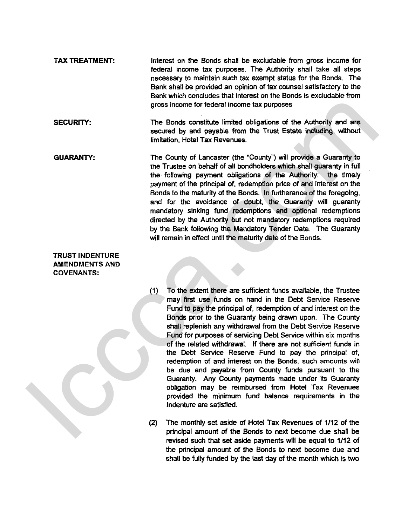- TAX TREATMENT: Interest on the Bonds shall be excludable from gross income for federal income tax purposes. The Authority shall take all steps necessary to maintain such tax exempt status for the Bonds. The Bank shall be provided an opinion of tax counsel satisfactory to the Bank which concludes that interest on the Bonds is exdudable from gross income for federal income tax purposes
- SECURITY: The Bonds constitute limited obligations of the Authority and are secured by and payable from the Trust Estate induding, without limitation, Hotel Tax Revenues.
- GUARANTY: The County of Lancaster (the "County") will provide a Guaranty to the Trustee on behalf of all bondholders which shall guaranty in full the following payment obligations of the Authority: the timely payment of the principal **of,** redemption price of and interest on the Bonds to the maturity of the Bonds. In furtherance of the foregoing. and for the avoidance of doubt, the Guaranty will guaranty mandatory sinking fund redemptions and optional redemptions directed by the Authority but not mandatory redemptions required by the Bank following the Mandatory Tender Date. The Guaranty will remain in effect until the maturity date of the Bonds. SECURITY:<br>
The Bonds constitute limited obligations of the Authority and are<br>
secured by and psysible from the Trust Estate induding, without<br>
secured by and psysible from the Trust Estate induding, without<br>
finitedion, Ho

# TRUST INDENTURE AMENDMENTS AND COVENANTS:

- (1) To the extent there are sufficient funds available, the Trustee may **first** use funds on hand in the Debt Service Reserve Fund to pay the principal of, redemption of and interest on the Bonds prior to the Guaranty being drawn upon. The County shall replenish any withdrawal from the Debt Service Reserve Fund for purposes of servicing Debt Service within six months of the related withdrawal. If there are not sufficient funds in the Debt Service Reserve Fund to pay the principal of, redemption of and interest **on** the Bonds, such amounts will be due and payable from County funds pursuant to the Guaranty. Any County payments made under its Guaranty obligation may be reimbursed from Hotel Tax Revenues provided the minimum fund balance requirements in the Indenture are satisfied.
- (2) The monthly set aside of Hotel Tax Revenues of 1/12 of the principal amount of the Bonds to next become due shaH be revised such that set aside payments will be equal to 1/12 of the principal amount of the Bonds to next become due and shall **be** fully funded **by the** last day of the month which is two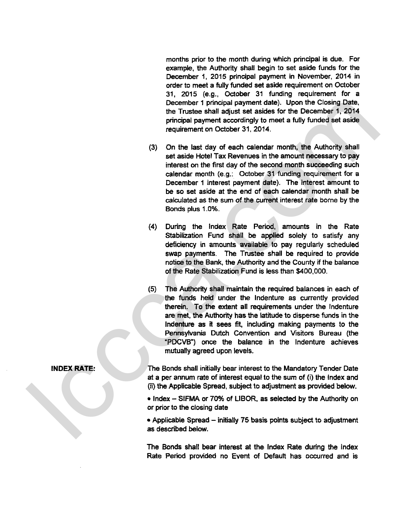months prior to the month during which principal is due. For example, the Authority shall begin to set aside funds for the December **1,** 2015 principal payment in November, 2014 in order to meet a fully funded set aside requirement on October 31, 2015 (e.g., October 31 funding requirement for a December 1 principal payment date). Upon the Closing Date. the Trustee shall adjust set asides for the December 1, 2014 principal payment accordingly to meet a fully funded set aside requirement on October 31. 2014.

- On the last day of each calendar month, the Authority shall set aside Hotel Tax Revenues in the amount necessary to pay interest on the first day of the second month succeeding such calendar month (e.g.: October 31 funding requirement for a December 1 interest payment date). The interest amount to be so set aside at the end of each calendar month shall be calculated as the sum of the current interest rate borne by the Bonds plus 1.0%.
- During the lndex Rate Period, amounts in the Rate Stabilization Fund shall be applied solely to satisfy any deficiency in amounts available to pay regularly scheduled swap payments. The Trustee shall be required to provide notice to the Bank, the Authority and the County if the balance of the Rate Stabilization Fund is less than \$400,000.
- The Authority shall maintain the required balances in each of the funds held under the lndenture as currently provided therein. To the extent all requirements under the lndenture are met, the Authority has the latitude to disperse funds in the lndenture as it sees fit, including making payments to the Pennsylvania Dutch Convention and Visitors Bureau (the "PDCVB") once the balance in the lndenture achieves mutually agreed upon levels. December 1 principal payment date). Upon the Closing Date<br>the Thurise shall adjust set asides for the December 1, 2014<br>procedure metall adjust set asides for the December 1, 2014<br>procedure metall and or of each calculate m

The Bonds shall initially bear interest to the Mandatory Tender Date at a per amum rate of interest equal to the sum of (i) the lndex and (ii) the Applicable Spread, subject to adjustment as provided below.

• Index - SIFMA or 70% of LIBOR, as selected by the Authority on or prior to the closing date

• Applicable Spread – initially 75 basis points subject to adjustment as described below.

The Bonds shall bear interest at the lndex Rate during the lndex **Rate** Period provided no Event of Default has occurred and is

## **I WDEX RATE:**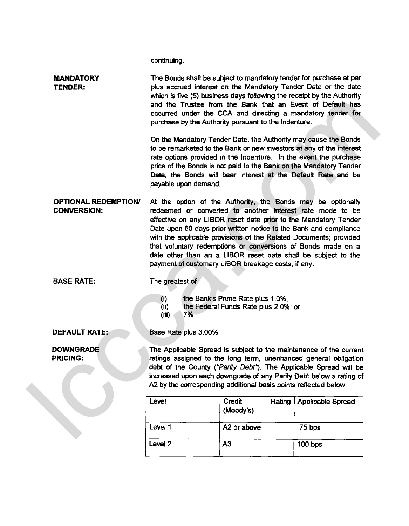continuing.

 $\sim 1$ 

|                                                                                                                                                             | <b>MANDATORY</b><br><b>TENDER:</b>                | The Bonds shall be subject to mandatory tender for purchase at par<br>plus accrued interest on the Mandatory Tender Date or the date<br>which is five (5) business days following the receipt by the Authority<br>and the Trustee from the Bank that an Event of Default has<br>occurred under the CCA and directing a mandatory tender for<br>purchase by the Authority pursuant to the Indenture.                                                                                                                          |                                                                                                                                                                                                                                                                                                                                                     |                   |  |
|-------------------------------------------------------------------------------------------------------------------------------------------------------------|---------------------------------------------------|------------------------------------------------------------------------------------------------------------------------------------------------------------------------------------------------------------------------------------------------------------------------------------------------------------------------------------------------------------------------------------------------------------------------------------------------------------------------------------------------------------------------------|-----------------------------------------------------------------------------------------------------------------------------------------------------------------------------------------------------------------------------------------------------------------------------------------------------------------------------------------------------|-------------------|--|
|                                                                                                                                                             |                                                   | payable upon demand.                                                                                                                                                                                                                                                                                                                                                                                                                                                                                                         | On the Mandatory Tender Date, the Authority may cause the Bonds<br>to be remarketed to the Bank or new investors at any of the interest<br>rate options provided in the Indenture. In the event the purchase<br>price of the Bonds is not paid to the Bank on the Mandatory Tender<br>Date, the Bonds will bear interest at the Default Rate and be |                   |  |
|                                                                                                                                                             | <b>OPTIONAL REDEMPTION/</b><br><b>CONVERSION:</b> | At the option of the Authority, the Bonds may be optionally<br>redeemed or converted to another interest rate mode to be<br>effective on any LIBOR reset date prior to the Mandatory Tender<br>Date upon 60 days prior written notice to the Bank and compliance<br>with the applicable provisions of the Related Documents; provided<br>that voluntary redemptions or conversions of Bonds made on a<br>date other than an a LIBOR reset date shall be subject to the<br>payment of customary LIBOR breakage costs, if any. |                                                                                                                                                                                                                                                                                                                                                     |                   |  |
| <b>BASE RATE:</b><br>The greatest of<br>the Bank's Prime Rate plus 1.0%,<br>$\left( i\right)$<br>the Federal Funds Rate plus 2.0%; or<br>(i)<br>7%<br>(iii) |                                                   |                                                                                                                                                                                                                                                                                                                                                                                                                                                                                                                              |                                                                                                                                                                                                                                                                                                                                                     |                   |  |
|                                                                                                                                                             | <b>DEFAULT RATE:</b>                              | Base Rate plus 3.00%                                                                                                                                                                                                                                                                                                                                                                                                                                                                                                         |                                                                                                                                                                                                                                                                                                                                                     |                   |  |
|                                                                                                                                                             | <b>DOWNGRADE</b><br><b>PRICING:</b>               | The Applicable Spread is subject to the maintenance of the current<br>ratings assigned to the long term, unenhanced general obligation<br>debt of the County ("Parity Debt"). The Applicable Spread will be<br>increased upon each downgrade of any Parity Debt below a rating of<br>A2 by the corresponding additional basis points reflected below                                                                                                                                                                         |                                                                                                                                                                                                                                                                                                                                                     |                   |  |
|                                                                                                                                                             |                                                   | Level                                                                                                                                                                                                                                                                                                                                                                                                                                                                                                                        | Credit<br>Rating<br>(Moody's)                                                                                                                                                                                                                                                                                                                       | Applicable Spread |  |
|                                                                                                                                                             |                                                   | Level 1                                                                                                                                                                                                                                                                                                                                                                                                                                                                                                                      | A2 or above                                                                                                                                                                                                                                                                                                                                         | 75 bps            |  |
|                                                                                                                                                             |                                                   | Level <sub>2</sub>                                                                                                                                                                                                                                                                                                                                                                                                                                                                                                           | A3                                                                                                                                                                                                                                                                                                                                                  | 100 bps           |  |
|                                                                                                                                                             |                                                   |                                                                                                                                                                                                                                                                                                                                                                                                                                                                                                                              |                                                                                                                                                                                                                                                                                                                                                     |                   |  |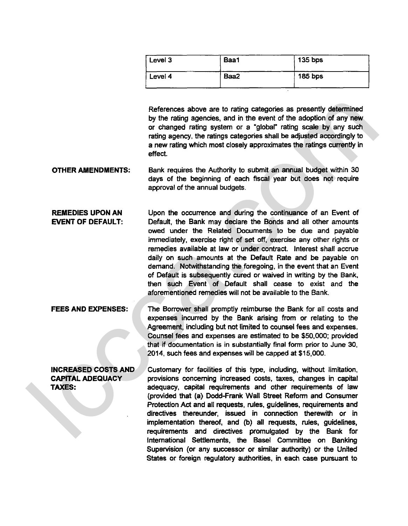| Level 3 | Baa1 | $135$ bps      |
|---------|------|----------------|
| Level 4 | Baa2 | <b>185 bps</b> |

References above are to rating categories as presently determined by the rating agencies, and in the event of the adoption of any new or changed rating system or a "global" rating scale by any such rating agency, the ratings categories shall be adjusted accordingly to a new rating which most closely approximates the ratings currently in effect.

**OTHER AMENDMENTS:** Bank requires the Authority to submit an annual budget within 30 days of the beginning of each fiscal year but does not require approval of the annual budgets.

**REMEDIES UPON AN** Upon the occurrence and during the continuance of **an** Event of **EVENT OF DEFAULT:** Default, the Bank may declare the Bonds and all other amounts owed under the Related Documents to be due and payable immediately, exercise right of set off, exercise any other rights or remedies available at law or under contract. Interest shall accrue daily on such amounts at the Default Rate and **be** payable on demand. Notwithstanding the foregoing, in the event that an Event of Default **is** subsequently **cured** or waived in writing by the Bank, then such Event of Default shall cease to exist and the aforementioned remedies will not be available to the Bank. References above are to rating categories as presently determined<br>by the rating agreement of the adoption of any regular<br>or change agreement of the stop and inferences and inferences and the form and<br>any setern, the rating

**FEES AND EXPENSES:** The Borrower shall promptly reimburse the Bank for all costs and expenses incurred by the Bank arising from or relating to the Agreement, including but not limited to counsel fees and expenses. Counsel fees and expenses are estimated to be \$50,000; provided that if documentation is in substantially final form prior to June 30, 2014, such fees and expenses will be capped at \$15,000.

**INCREASED COSTS AND** Customary for facilities of this type, including, without limitation, **CAPITAL ADEQUACY** provisions concerning increased costs, taxes, changes in capital **TAXES:** adequacy, capital requirements and other requirements of law (provided that (a) Dodd-Frank Wall Street Reform and Consumer Protection Act and all requests, rules, guidelines, requirements and directives thereunder, issued in connection therewith or in implementation thereof, and (b) all requests, rules, guidelines, requirements and directives promulgated by the Bank for International Settlements, the Basel Committee on Banking Supervision (or any successor or similar authority) or the United States or foreign regulatory authorities, in each case pursuant to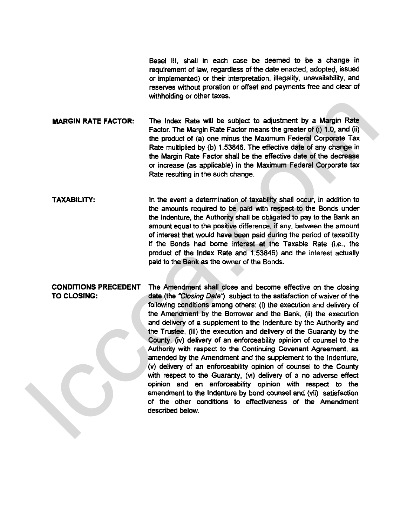Base1 Ill, shall in each case be deemed to be a change in requirement of law, regardless of the date enacted, adopted, issued or implemented) or their interpretation, illegality, unavailability, and reserves without proration or offset and payments free and clear of withholding or other taxes.

**MARGIN RATE FACTOR:** The lndex Rate **will** be subject to adjustment by a Margin Rate Factor. The Margin Rate Factor means the greater of (i) 1 .O, and (ii) the product of (a) one minus the Maximum Federal Corporate Tax Rate multiplied by (b) **1.53846.** The effective date of any change in the Margin Rate Factor shall be the effective date of the decrease or increase (as applicable) in the Maximum Federal Corporate tax Rate resulting in the such change.

In the event a determination of taxability shall occur, in addition to the amounts required to be paid with respect to the Bonds under the Indenture, the Authority shall be obligated to pay to the Bank an amount equal to the positive difference, if any, between the amount of interest that would have been paid during the period of taxability **if** the Bonds had borne interest at the Taxable Rate **(i.e.,** the product of the lndex Rate and **1.53846)** and the interest actually paid to the Bank as the owner of the Bonds.

**CONDITIONS PRECEDENT** The Amendment shall close and become effective on the closing **TO CLOSING:** date (the "Closing **Date?** subject to the satisfaction of waiver of the following conditions among others: (i) the execution and delivery of the Amendment by the Borrower and the Bank, (ii) the execution and delivery of a supplement to the lndenture by the Authority and the Trustee, (iii) the execution and delivery of the Guaranty by the County, (iv) delivery of an enforceability opinion of counsel to the Authority with respect to the Continuing Covenant Agreement, as amended by the Amendment and the supplement to the Indenture, (v) delivery of an enforceability opinion of counsel to the County with respect to the Guaranty. **(vi)** delivery of a no adverse effect opinion and en enforceability opinion with respect to the amendment to the Indenture by bond counsel and **(vii)** satisfaction of the other condiiions to effectiveness of the Amendment described below. **MARGIN RATE FACTOR:**<br>
The Index Kate will be subject to adjustment by a Margin Rate<br>
Factor. The Margin Rate Fedor means the greeter of (i) 1.0, and (i)<br>
the product of (a) one minus the Maxdinum Fedoral Corporate Tax<br>
R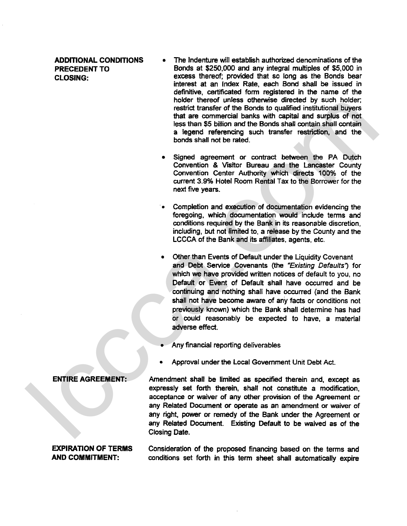- **ADDITIONAL CONDITIONS** The Indenture will establish authorized denominations of the **PRECEDENT TO** Bonds at **\$250,000** and any integral multiples of **\$5,000** in **CLOSING:** excess thereof; provided that so long as the Bonds bear interest at an Index Rate, each Bond shall be issued in definitive, certificated form registered in the name of the holder thereof unless otherwise directed by such holder; restrict transfer of the Bonds to qualified institutional buyers that are commercial banks with capital and surplus of not less than \$5 billion and the Bonds shall contain shall contain a legend referencing such transfer restriction, and the bonds shall not be rated.
	- Signed agreement or contract between the PA Dutch Convention **8** Visitor Bureau and the Lancaster County Convention Center Authority which directs 100% of the current 3.9% Hotel Room Rental Tax to the Borrower for the next five years.
	- Completion and execution of documentation evidencing the foregoing, which documentation would include terms and conditions required by the Bank in its reasonable discretion, including, but not limited to, a release by the County and the LCCCA of the Bank and its affiliates, agents, etc.
	- Other than Events of Default under the Liquidity Covenant and Debt Service Covenants (the "Existing Defaults") for which we have provided written notices of default to you, no Default or Event of Default shall have occurred and be continuing and nothing shall have occurred (and the Bank shall not have become aware of any facts or conditions not previously known) which the Bank shall determine has had or could reasonably be expected to have, a material adverse effect.
	- Any financial reporting deliwerabies
	- Approval under the Local Government Unit Debt Act.

**ENTIRE AGREEMENT:** Amendment shall be limited as specified therein and, except as expressly set forth therein, shall not constitute a modification, acceptance or waiver of any other provision of the Agreement or any Related Document or operate as an amendment or waiver of any right, power or remedy of the Bank under the Agreement or any Related Document. Existing Defautt to be waived as of the Closing Date. holder thereaf under the Schwake directed by such holder.<br>
testint transfer of the Sonds to quadrical installable lines<br>
testint transfer of the Sonds to quadrical installable lines<br>
testing a figure and the Bonds build

**EXPIRATION OF TERMS** Consideration of the proposed financing based on the terms and **AND COMMITMENT:** conditions set forth in this term sheet shall automatically expire